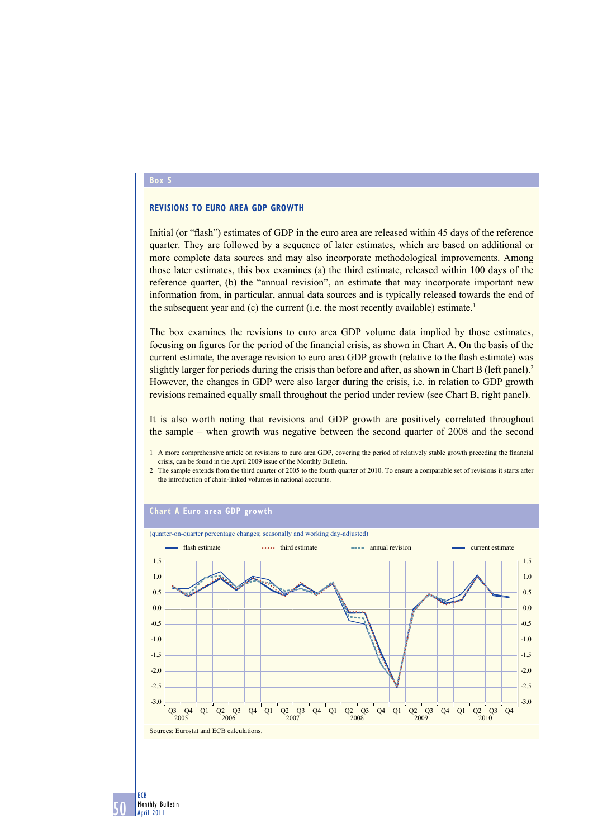#### **Box 5**

## **REVISIONS TO EURO AREA GDP GROWTH**

Initial (or "flash") estimates of GDP in the euro area are released within 45 days of the reference quarter. They are followed by a sequence of later estimates, which are based on additional or more complete data sources and may also incorporate methodological improvements. Among those later estimates, this box examines (a) the third estimate, released within 100 days of the reference quarter, (b) the "annual revision", an estimate that may incorporate important new information from, in particular, annual data sources and is typically released towards the end of the subsequent year and  $(c)$  the current (i.e. the most recently available) estimate.<sup>1</sup>

The box examines the revisions to euro area GDP volume data implied by those estimates, focusing on figures for the period of the financial crisis, as shown in Chart A. On the basis of the current estimate, the average revision to euro area GDP growth (relative to the flash estimate) was slightly larger for periods during the crisis than before and after, as shown in Chart B (left panel).<sup>2</sup> However, the changes in GDP were also larger during the crisis, i.e. in relation to GDP growth revisions remained equally small throughout the period under review (see Chart B, right panel).

It is also worth noting that revisions and GDP growth are positively correlated throughout the sample – when growth was negative between the second quarter of 2008 and the second

1 A more comprehensive article on revisions to euro area GDP, covering the period of relatively stable growth preceding the financial crisis, can be found in the April 2009 issue of the Monthly Bulletin.

2 The sample extends from the third quarter of 2005 to the fourth quarter of 2010. To ensure a comparable set of revisions it starts after the introduction of chain-linked volumes in national accounts.

### **Chart A Euro area GDP growth**



50 ECB Monthly Bulletin April 2011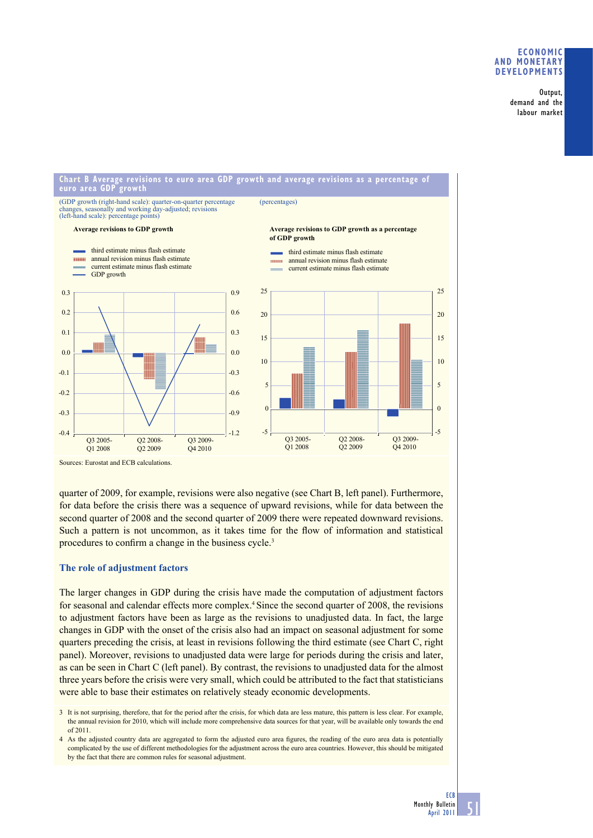## **ECONOMIC AND MONETARY DEVELOPMENTS**

Output, demand and the labour market

#### **Chart B Average revisions to euro area GDP growth and average revisions as a percentage of euro area GDP growth**

(GDP growth (right-hand scale): quarter-on-quarter percentage changes, seasonally and working day-adjusted; revisions (left-hand scale): percentage points)

GDP growth

0.2

0.3

**TELEVISION** 

# (percentages)

#### **Average revisions to GDP growth Average revisions to GDP growth as a percentage of GDP growth** third estimate minus flash estimate annual revision minus flash estimate current estimate minus flash estimate third estimate minus flash estimate **nnual revision minus flash estimate** current estimate minus flash estimate 0.3 0.6 0.9  $20$ 25

 $-0.4$ -0.3 -0.2 -0.1 0.0 0.1  $-1.2$ -0.9 -0.6  $-0.3$ 0.0 Q3 2005- Q1 2008 Q2 2008- Q2 2009 Q3 2009- Q4 2010 -5 0 5 10 15 Q3 2005- Q1 2008 Q2 2008- Q2 2009 Q3 2009- Q4 2010 Sources: Eurostat and ECB calculations.

quarter of 2009, for example, revisions were also negative (see Chart B, left panel). Furthermore, for data before the crisis there was a sequence of upward revisions, while for data between the second quarter of 2008 and the second quarter of 2009 there were repeated downward revisions. Such a pattern is not uncommon, as it takes time for the flow of information and statistical procedures to confirm a change in the business cycle.<sup>3</sup>

# **The role of adjustment factors**

The larger changes in GDP during the crisis have made the computation of adjustment factors for seasonal and calendar effects more complex.4 Since the second quarter of 2008, the revisions to adjustment factors have been as large as the revisions to unadjusted data. In fact, the large changes in GDP with the onset of the crisis also had an impact on seasonal adjustment for some quarters preceding the crisis, at least in revisions following the third estimate (see Chart C, right panel). Moreover, revisions to unadjusted data were large for periods during the crisis and later, as can be seen in Chart C (left panel). By contrast, the revisions to unadjusted data for the almost three years before the crisis were very small, which could be attributed to the fact that statisticians were able to base their estimates on relatively steady economic developments.

3 It is not surprising, therefore, that for the period after the crisis, for which data are less mature, this pattern is less clear. For example, the annual revision for 2010, which will include more comprehensive data sources for that year, will be available only towards the end of 2011.

4 As the adjusted country data are aggregated to form the adjusted euro area figures, the reading of the euro area data is potentially complicated by the use of different methodologies for the adjustment across the euro area countries. However, this should be mitigated by the fact that there are common rules for seasonal adjustment.

-5

 $\Omega$ 

5

10

15

 $20$ 

25

51